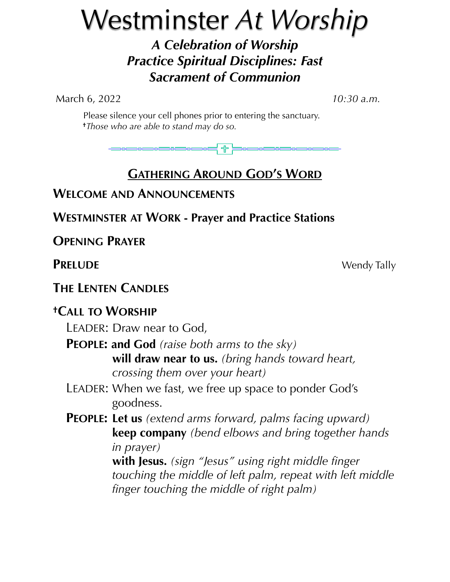# Westminster *At Worship*

*A Celebration of Worship Practice Spiritual Disciplines: Fast Sacrament of Communion*

March 6, 2022 *10:30 a.m.*

 Please silence your cell phones prior to entering the sanctuary. **†***Those who are able to stand may do so.*



# **GATHERING AROUND GOD'S WORD**

# **WELCOME AND ANNOUNCEMENTS**

**WESTMINSTER AT WORK - Prayer and Practice Stations**

**OPENING PRAYER**

**PRELUDE** Wendy Tally

**THE LENTEN CANDLES**

# **†CALL TO WORSHIP**

LEADER: Draw near to God,

- **PEOPLE: and God** *(raise both arms to the sky)*  **will draw near to us.** *(bring hands toward heart, crossing them over your heart)*
- LEADER: When we fast, we free up space to ponder God's goodness.
- **PEOPLE: Let us** *(extend arms forward, palms facing upward)*  **keep company** *(bend elbows and bring together hands in prayer)*

 **with Jesus.** *(sign "Jesus" using right middle finger touching the middle of left palm, repeat with left middle finger touching the middle of right palm)*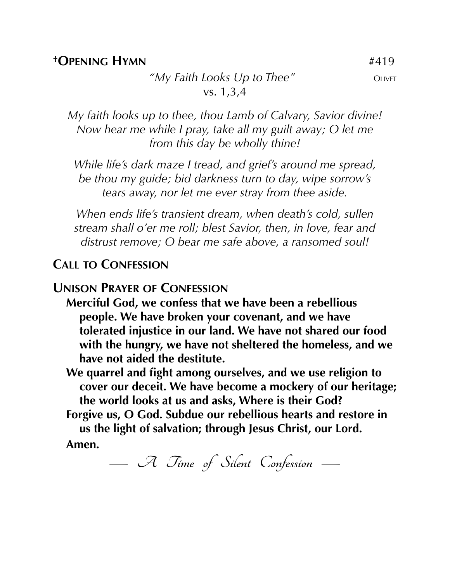#### **†OPENING HYMN** #419

*"My Faith Looks Up to Thee"* OLIVET vs. 1,3,4

*My faith looks up to thee, thou Lamb of Calvary, Savior divine! Now hear me while I pray, take all my guilt away; O let me from this day be wholly thine!*

*While life's dark maze I tread, and grief's around me spread, be thou my guide; bid darkness turn to day, wipe sorrow's tears away, nor let me ever stray from thee aside.*

*When ends life's transient dream, when death's cold, sullen stream shall o'er me roll; blest Savior, then, in love, fear and distrust remove; O bear me safe above, a ransomed soul!*

## **CALL TO CONFESSION**

#### **UNISON PRAYER OF CONFESSION**

- **Merciful God, we confess that we have been a rebellious people. We have broken your covenant, and we have tolerated injustice in our land. We have not shared our food with the hungry, we have not sheltered the homeless, and we have not aided the destitute.**
- **We quarrel and fight among ourselves, and we use religion to cover our deceit. We have become a mockery of our heritage; the world looks at us and asks, Where is their God?**

**Forgive us, O God. Subdue our rebellious hearts and restore in us the light of salvation; through Jesus Christ, our Lord.**

**Amen.**

**— A Time of Silent Confession —**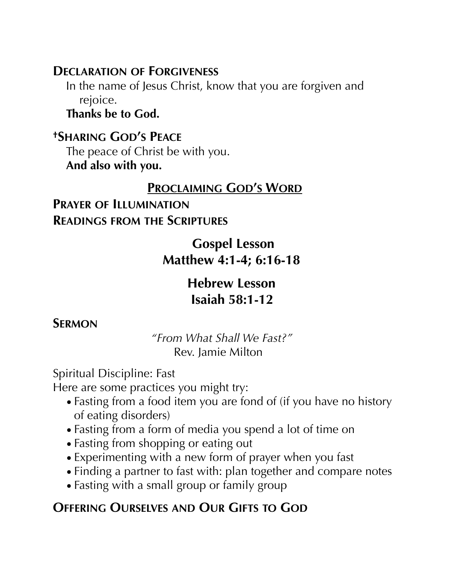# **DECLARATION OF FORGIVENESS**

In the name of Jesus Christ, know that you are forgiven and rejoice.

**Thanks be to God.**

**†SHARING GOD'S PEACE** The peace of Christ be with you. **And also with you.**

## **PROCLAIMING GOD'S WORD**

# **PRAYER OF ILLUMINATION READINGS FROM THE SCRIPTURES**

# **Gospel Lesson Matthew 4:1-4; 6:16-18**

# **Hebrew Lesson Isaiah 58:1-12**

# **SERMON**

 *"From What Shall We Fast?"* Rev. Jamie Milton

Spiritual Discipline: Fast

Here are some practices you might try:

- Fasting from a food item you are fond of (if you have no history of eating disorders)
- Fasting from a form of media you spend a lot of time on
- Fasting from shopping or eating out
- Experimenting with a new form of prayer when you fast
- Finding a partner to fast with: plan together and compare notes
- Fasting with a small group or family group

# **OFFERING OURSELVES AND OUR GIFTS TO GOD**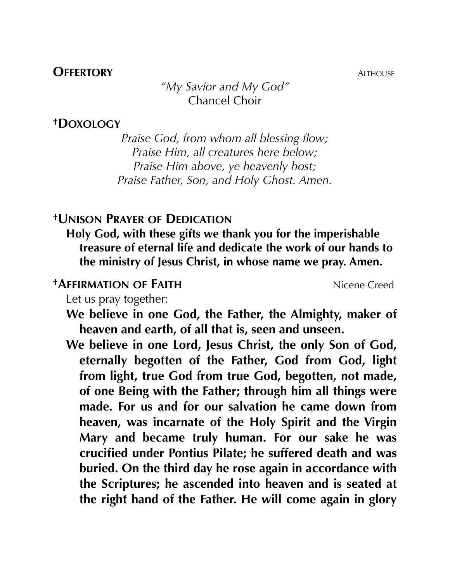### **OFFERTORY** ALTHOUSE

*"My Savior and My God"* Chancel Choir

#### **†DOXOLOGY**

*Praise God, from whom all blessing flow; Praise Him, all creatures here below; Praise Him above, ye heavenly host; Praise Father, Son, and Holy Ghost. Amen.*

## **†UNISON PRAYER OF DEDICATION**

**Holy God, with these gifts we thank you for the imperishable treasure of eternal life and dedicate the work of our hands to the ministry of Jesus Christ, in whose name we pray. Amen.**

### **†AFFIRMATION OF FAITH** Nicene Creed

Let us pray together:

**We believe in one God, the Father, the Almighty, maker of heaven and earth, of all that is, seen and unseen.**

**We believe in one Lord, Jesus Christ, the only Son of God, eternally begotten of the Father, God from God, light from light, true God from true God, begotten, not made, of one Being with the Father; through him all things were made. For us and for our salvation he came down from heaven, was incarnate of the Holy Spirit and the Virgin Mary and became truly human. For our sake he was crucified under Pontius Pilate; he suffered death and was buried. On the third day he rose again in accordance with the Scriptures; he ascended into heaven and is seated at the right hand of the Father. He will come again in glory**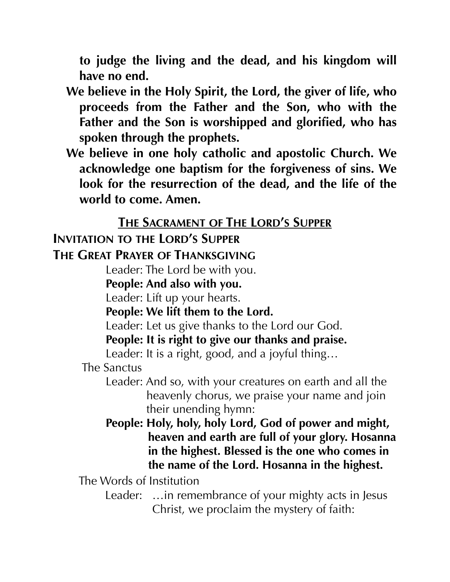**to judge the living and the dead, and his kingdom will have no end.**

- **We believe in the Holy Spirit, the Lord, the giver of life, who proceeds from the Father and the Son, who with the Father and the Son is worshipped and glorified, who has spoken through the prophets.**
- **We believe in one holy catholic and apostolic Church. We acknowledge one baptism for the forgiveness of sins. We look for the resurrection of the dead, and the life of the world to come. Amen.**

# **THE SACRAMENT OF THE LORD'S SUPPER**

# **INVITATION TO THE LORD'S SUPPER**

# **THE GREAT PRAYER OF THANKSGIVING**

Leader: The Lord be with you.

**People: And also with you.** 

Leader: Lift up your hearts.

**People: We lift them to the Lord.**

Leader: Let us give thanks to the Lord our God.

**People: It is right to give our thanks and praise.**

Leader: It is a right, good, and a joyful thing…

The Sanctus

Leader: And so, with your creatures on earth and all the heavenly chorus, we praise your name and join their unending hymn:

**People: Holy, holy, holy Lord, God of power and might, heaven and earth are full of your glory. Hosanna in the highest. Blessed is the one who comes in the name of the Lord. Hosanna in the highest.**

The Words of Institution

Leader: ... in remembrance of your mighty acts in Jesus Christ, we proclaim the mystery of faith: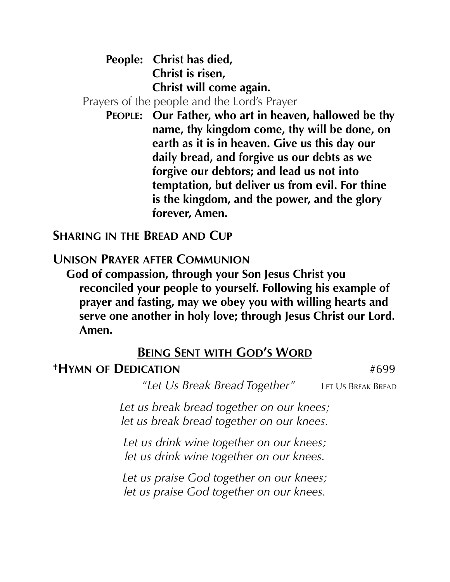**People: Christ has died, Christ is risen, Christ will come again.**

Prayers of the people and the Lord's Prayer

**PEOPLE: Our Father, who art in heaven, hallowed be thy name, thy kingdom come, thy will be done, on earth as it is in heaven. Give us this day our daily bread, and forgive us our debts as we forgive our debtors; and lead us not into temptation, but deliver us from evil. For thine is the kingdom, and the power, and the glory forever, Amen.**

**SHARING IN THE BREAD AND CUP**

**UNISON PRAYER AFTER COMMUNION**

**God of compassion, through your Son Jesus Christ you reconciled your people to yourself. Following his example of prayer and fasting, may we obey you with willing hearts and serve one another in holy love; through Jesus Christ our Lord. Amen.**

## **BEING SENT WITH GOD'S WORD**

## **†HYMN OF DEDICATION** #699

 *"Let Us Break Bread Together"* LET US BREAK BREAD

*Let us break bread together on our knees; let us break bread together on our knees.*

*Let us drink wine together on our knees; let us drink wine together on our knees.*

*Let us praise God together on our knees; let us praise God together on our knees.*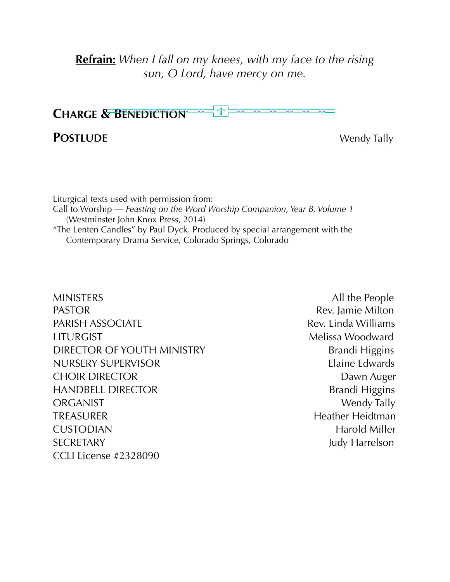**Refrain:** *When I fall on my knees, with my face to the rising sun, O Lord, have mercy on me.*



## **POSTLUDE** Wendy Tally

Liturgical texts used with permission from: Call to Worship — *Feasting on the Word Worship Companion, Year B, Volume 1*  (Westminster John Knox Press, 2014) "The Lenten Candles" by Paul Dyck. Produced by special arrangement with the Contemporary Drama Service, Colorado Springs, Colorado

MINISTERS All the People PASTOR **Rev.** Jamie Milton PARISH ASSOCIATE **Rev. Linda Williams** LITURGIST Melissa Woodward DIRECTOR OF YOUTH MINISTRY Brandi Higgins NURSERY SUPERVISOR Elaine Edwards CHOIR DIRECTOR **DAWN AUGUST 2006** Dawn Auger HANDBELL DIRECTOR Brandi Higgins ORGANIST Wendy Tally TREASURER Heidtman Heather Heidtman CUSTODIAN Harold Miller SECRETARY Judy Harrelson CCLI License #2328090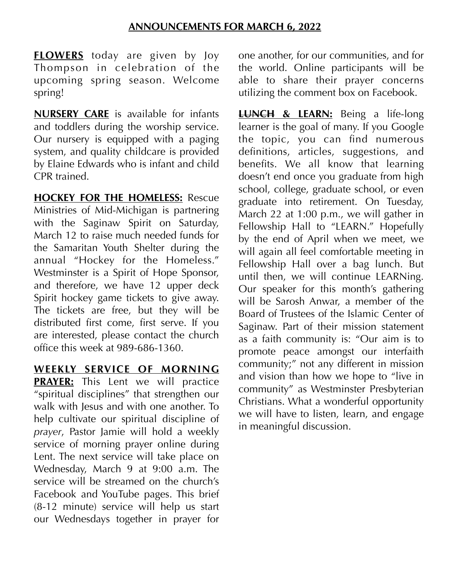**FLOWERS** today are given by Joy Thompson in celebration of the upcoming spring season. Welcome spring!

**NURSERY CARE** is available for infants and toddlers during the worship service. Our nursery is equipped with a paging system, and quality childcare is provided by Elaine Edwards who is infant and child CPR trained.

**HOCKEY FOR THE HOMELESS:** Rescue Ministries of Mid-Michigan is partnering with the Saginaw Spirit on Saturday, March 12 to raise much needed funds for the Samaritan Youth Shelter during the annual "Hockey for the Homeless." Westminster is a Spirit of Hope Sponsor, and therefore, we have 12 upper deck Spirit hockey game tickets to give away. The tickets are free, but they will be distributed first come, first serve. If you are interested, please contact the church office this week at 989-686-1360.

**WEEKLY SERVICE OF MORNING** 

**PRAYER:** This Lent we will practice "spiritual disciplines" that strengthen our walk with Jesus and with one another. To help cultivate our spiritual discipline of *prayer*, Pastor Jamie will hold a weekly service of morning prayer online during Lent. The next service will take place on Wednesday, March 9 at 9:00 a.m. The service will be streamed on the church's Facebook and YouTube pages. This brief (8-12 minute) service will help us start our Wednesdays together in prayer for one another, for our communities, and for the world. Online participants will be able to share their prayer concerns utilizing the comment box on Facebook.

**LUNCH & LEARN:** Being a life-long learner is the goal of many. If you Google the topic, you can find numerous definitions, articles, suggestions, and benefits. We all know that learning doesn't end once you graduate from high school, college, graduate school, or even graduate into retirement. On Tuesday, March 22 at 1:00 p.m., we will gather in Fellowship Hall to "LEARN." Hopefully by the end of April when we meet, we will again all feel comfortable meeting in Fellowship Hall over a bag lunch. But until then, we will continue LEARNing. Our speaker for this month's gathering will be Sarosh Anwar, a member of the Board of Trustees of the Islamic Center of Saginaw. Part of their mission statement as a faith community is: "Our aim is to promote peace amongst our interfaith community;" not any different in mission and vision than how we hope to "live in community" as Westminster Presbyterian Christians. What a wonderful opportunity we will have to listen, learn, and engage in meaningful discussion.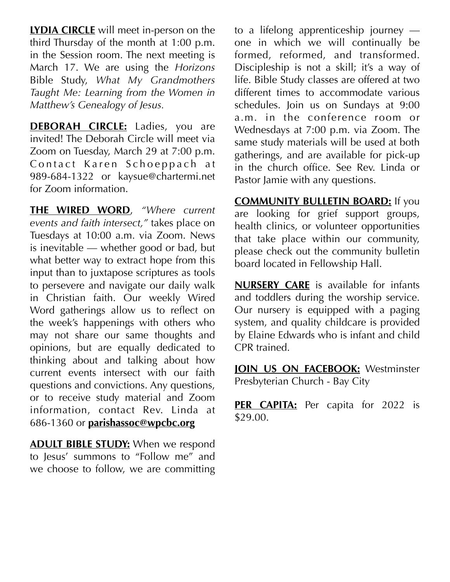**LYDIA CIRCLE** will meet in-person on the third Thursday of the month at 1:00 p.m. in the Session room. The next meeting is March 17. We are using the *Horizons* Bible Study, *What My Grandmothers Taught Me: Learning from the Women in Matthew's Genealogy of Jesus.*

**DEBORAH CIRCLE:** Ladies, you are invited! The Deborah Circle will meet via Zoom on Tuesday, March 29 at 7:00 p.m. Contact Karen Schoeppach at 989-684-1322 or kaysue@chartermi.net for Zoom information.

**THE WIRED WORD**, *"Where current events and faith intersect,"* takes place on Tuesdays at 10:00 a.m. via Zoom. News is inevitable — whether good or bad, but what better way to extract hope from this input than to juxtapose scriptures as tools to persevere and navigate our daily walk in Christian faith. Our weekly Wired Word gatherings allow us to reflect on the week's happenings with others who may not share our same thoughts and opinions, but are equally dedicated to thinking about and talking about how current events intersect with our faith questions and convictions. Any questions, or to receive study material and Zoom information, contact Rev. Linda at 686-1360 or **[parishassoc@wpcbc.org](mailto:parishassoc@wpcbc.org)**

**ADULT BIBLE STUDY:** When we respond to Jesus' summons to "Follow me" and we choose to follow, we are committing to a lifelong apprenticeship journey one in which we will continually be formed, reformed, and transformed. Discipleship is not a skill; it's a way of life. Bible Study classes are offered at two different times to accommodate various schedules. Join us on Sundays at 9:00 a.m. in the conference room or Wednesdays at 7:00 p.m. via Zoom. The same study materials will be used at both gatherings, and are available for pick-up in the church office. See Rev. Linda or Pastor Jamie with any questions.

**COMMUNITY BULLETIN BOARD:** If you are looking for grief support groups, health clinics, or volunteer opportunities that take place within our community, please check out the community bulletin board located in Fellowship Hall.

**NURSERY CARE** is available for infants and toddlers during the worship service. Our nursery is equipped with a paging system, and quality childcare is provided by Elaine Edwards who is infant and child CPR trained.

**JOIN US ON FACEBOOK:** Westminster Presbyterian Church - Bay City

**PER CAPITA:** Per capita for 2022 is \$29.00.